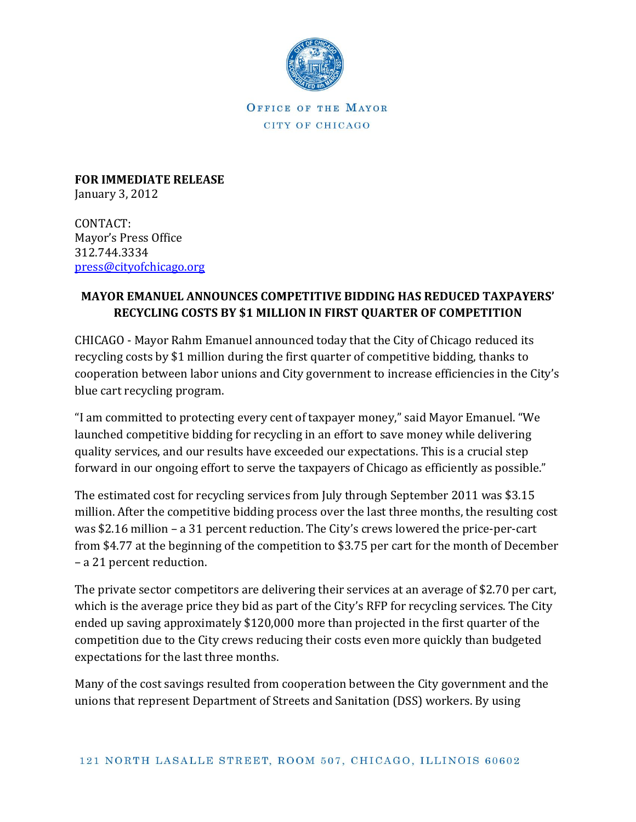

OFFICE OF THE MAYOR CITY OF CHICAGO

**FOR IMMEDIATE RELEASE** January 3, 2012

CONTACT: Mayor's Press Office 312.744.3334 [press@cityofchicago.org](mailto:press@cityofchicago.org)

## **MAYOR EMANUEL ANNOUNCES COMPETITIVE BIDDING HAS REDUCED TAXPAYERS' RECYCLING COSTS BY \$1 MILLION IN FIRST QUARTER OF COMPETITION**

CHICAGO - Mayor Rahm Emanuel announced today that the City of Chicago reduced its recycling costs by \$1 million during the first quarter of competitive bidding, thanks to cooperation between labor unions and City government to increase efficiencies in the City's blue cart recycling program.

"I am committed to protecting every cent of taxpayer money," said Mayor Emanuel. "We launched competitive bidding for recycling in an effort to save money while delivering quality services, and our results have exceeded our expectations. This is a crucial step forward in our ongoing effort to serve the taxpayers of Chicago as efficiently as possible."

The estimated cost for recycling services from July through September 2011 was \$3.15 million. After the competitive bidding process over the last three months, the resulting cost was \$2.16 million – a 31 percent reduction. The City's crews lowered the price-per-cart from \$4.77 at the beginning of the competition to \$3.75 per cart for the month of December – a 21 percent reduction.

The private sector competitors are delivering their services at an average of \$2.70 per cart, which is the average price they bid as part of the City's RFP for recycling services. The City ended up saving approximately \$120,000 more than projected in the first quarter of the competition due to the City crews reducing their costs even more quickly than budgeted expectations for the last three months.

Many of the cost savings resulted from cooperation between the City government and the unions that represent Department of Streets and Sanitation (DSS) workers. By using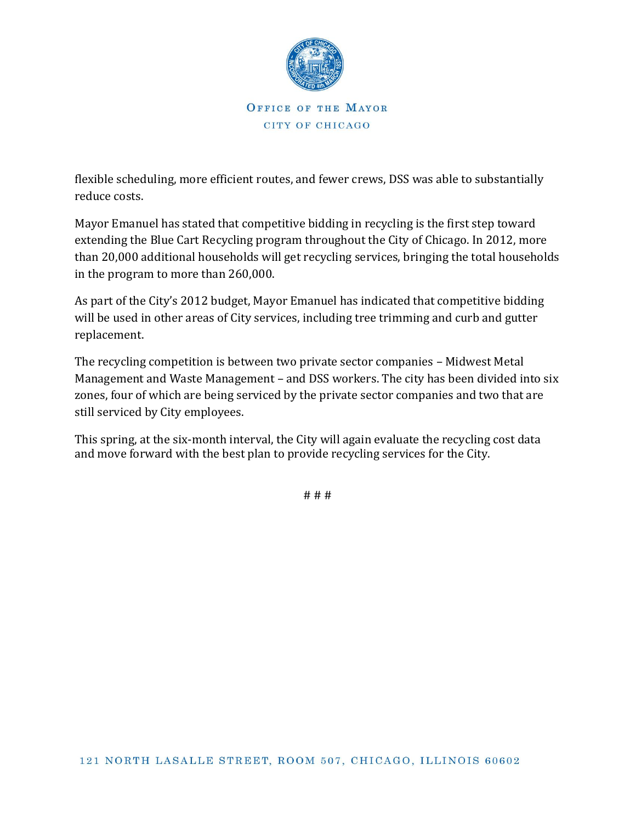

OFFICE OF THE MAYOR CITY OF CHICAGO

flexible scheduling, more efficient routes, and fewer crews, DSS was able to substantially reduce costs.

Mayor Emanuel has stated that competitive bidding in recycling is the first step toward extending the Blue Cart Recycling program throughout the City of Chicago. In 2012, more than 20,000 additional households will get recycling services, bringing the total households in the program to more than 260,000.

As part of the City's 2012 budget, Mayor Emanuel has indicated that competitive bidding will be used in other areas of City services, including tree trimming and curb and gutter replacement.

The recycling competition is between two private sector companies – Midwest Metal Management and Waste Management – and DSS workers. The city has been divided into six zones, four of which are being serviced by the private sector companies and two that are still serviced by City employees.

This spring, at the six-month interval, the City will again evaluate the recycling cost data and move forward with the best plan to provide recycling services for the City.

# # #